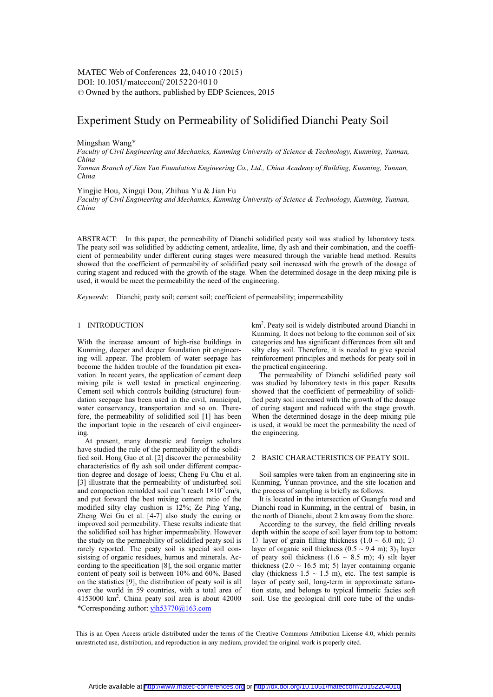DOI:  $10.1051/m \text{ at } 20152204010$ -<sup>C</sup> Owned by the authors, published by EDP Sciences, 2015 MATEC Web of Conferences 22, 04010 (2015)

# Experiment Study on Permeability of Solidified Dianchi Peaty Soil

### Mingshan Wang\*

*Faculty of Civil Engineering and Mechanics, Kunming University of Science & Technology, Kunming, Yunnan, China* 

*Yunnan Branch of Jian Yan Foundation Engineering Co., Ltd., China Academy of Building, Kunming, Yunnan, China* 

Yingjie Hou, Xingqi Dou, Zhihua Yu & Jian Fu

*Faculty of Civil Engineering and Mechanics, Kunming University of Science & Technology, Kunming, Yunnan, China* 

ABSTRACT: In this paper, the permeability of Dianchi solidified peaty soil was studied by laboratory tests. The peaty soil was solidified by addicting cement, ardealite, lime, fly ash and their combination, and the coefficient of permeability under different curing stages were measured through the variable head method. Results showed that the coefficient of permeability of solidified peaty soil increased with the growth of the dosage of curing stagent and reduced with the growth of the stage. When the determined dosage in the deep mixing pile is used, it would be meet the permeability the need of the engineering.

*Keywords*: Dianchi; peaty soil; cement soil; coefficient of permeability; impermeability

# 1 INTRODUCTION

With the increase amount of high-rise buildings in Kunming, deeper and deeper foundation pit engineering will appear. The problem of water seepage has become the hidden trouble of the foundation pit excavation. In recent years, the application of cement deep mixing pile is well tested in practical engineering. Cement soil which controls building (structure) foundation seepage has been used in the civil, municipal, water conservancy, transportation and so on. Therefore, the permeability of solidified soil [1] has been the important topic in the research of civil engineering.

\*Corresponding author: yjh53770@163.com At present, many domestic and foreign scholars have studied the rule of the permeability of the solidified soil. Hong Guo et al. [2] discover the permeability characteristics of fly ash soil under different compaction degree and dosage of loess; Cheng Fu Chu et al. [3] illustrate that the permeability of undisturbed soil and compaction remolded soil can't reach  $1 \times 10^{-7}$ cm/s, and put forward the best mixing cement ratio of the modified silty clay cushion is 12%; Ze Ping Yang, Zheng Wei Gu et al. [4-7] also study the curing or improved soil permeability. These results indicate that the solidified soil has higher impermeability. However the study on the permeability of solidified peaty soil is rarely reported. The peaty soil is special soil consistsing of organic residues, humus and minerals. According to the specification [8], the soil organic matter content of peaty soil is between 10% and 60%. Based on the statistics [9], the distribution of peaty soil is all over the world in 59 countries, with a total area of  $4153000$  km<sup>2</sup>. China peaty soil area is about  $42000$ 

km2 . Peaty soil is widely distributed around Dianchi in Kunming. It does not belong to the common soil of six categories and has significant differences from silt and silty clay soil. Therefore, it is needed to give special reinforcement principles and methods for peaty soil in the practical engineering.

The permeability of Dianchi solidified peaty soil was studied by laboratory tests in this paper. Results showed that the coefficient of permeability of solidified peaty soil increased with the growth of the dosage of curing stagent and reduced with the stage growth. When the determined dosage in the deep mixing pile is used, it would be meet the permeability the need of the engineering.

### 2 BASIC CHARACTERISTICS OF PEATY SOIL

Soil samples were taken from an engineering site in Kunming, Yunnan province, and the site location and the process of sampling is briefly as follows:

It is located in the intersection of Guangfu road and Dianchi road in Kunming, in the central of basin, in the north of Dianchi, about 2 km away from the shore.

According to the survey, the field drilling reveals depth within the scope of soil layer from top to bottom: 1) layer of grain filling thickness  $(1.0 \sim 6.0 \text{ m})$ ; 2) layer of organic soil thickness  $(0.5 \sim 9.4 \text{ m})$ ; 3)<sub>1</sub> layer of peaty soil thickness  $(1.6 \sim 8.5 \text{ m})$ ; 4) silt layer thickness  $(2.0 \sim 16.5 \text{ m})$ ; 5) layer containing organic clay (thickness  $1.5 \sim 1.5$  m), etc. The test sample is layer of peaty soil, long-term in approximate saturation state, and belongs to typical limnetic facies soft soil. Use the geological drill core tube of the undis-

This is an Open Access article distributed under the terms of the Creative Commons Attribution License 4.0, which permits unrestricted use, distribution, and reproduction in any medium, provided the original work is properly cited.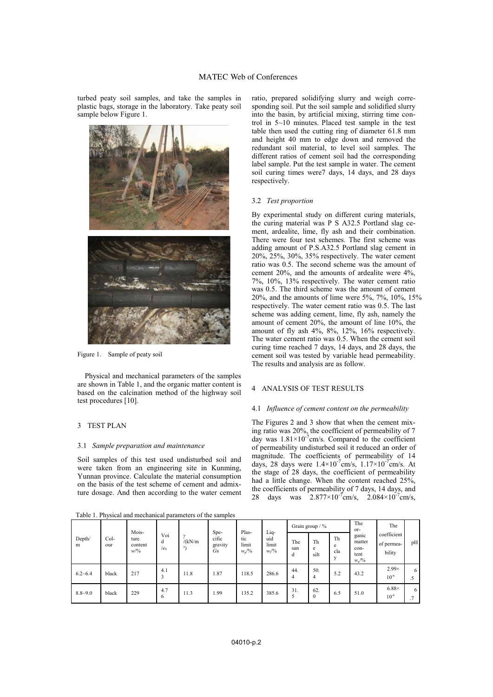turbed peaty soil samples, and take the samples in plastic bags, storage in the laboratory. Take peaty soil sample below Figure 1.



Figure 1. Sample of peaty soil

Physical and mechanical parameters of the samples are shown in Table 1, and the organic matter content is based on the calcination method of the highway soil test procedures [10].

### 3 TEST PLAN

### 3.1 *Sample preparation and maintenance*

Soil samples of this test used undisturbed soil and were taken from an engineering site in Kunming, Yunnan province. Calculate the material consumption on the basis of the test scheme of cement and admixture dosage. And then according to the water cement

ratio, prepared solidifying slurry and weigh corresponding soil. Put the soil sample and solidified slurry into the basin, by artificial mixing, stirring time control in 5~10 minutes. Placed test sample in the test table then used the cutting ring of diameter 61.8 mm and height 40 mm to edge down and removed the redundant soil material, to level soil samples. The different ratios of cement soil had the corresponding label sample. Put the test sample in water. The cement soil curing times were7 days, 14 days, and 28 days respectively.

# 3.2 *Test proportion*

By experimental study on different curing materials, the curing material was P S A32.5 Portland slag cement, ardealite, lime, fly ash and their combination. There were four test schemes. The first scheme was adding amount of P.S.A32.5 Portland slag cement in 20%, 25%, 30%, 35% respectively. The water cement ratio was 0.5. The second scheme was the amount of cement 20%, and the amounts of ardealite were 4%, 7%, 10%, 13% respectively. The water cement ratio was 0.5. The third scheme was the amount of cement 20%, and the amounts of lime were 5%, 7%, 10%, 15% respectively. The water cement ratio was 0.5. The last scheme was adding cement, lime, fly ash, namely the amount of cement 20%, the amount of line 10%, the amount of fly ash 4%, 8%, 12%, 16% respectively. The water cement ratio was 0.5. When the cement soil curing time reached 7 days, 14 days, and 28 days, the cement soil was tested by variable head permeability. The results and analysis are as follow.

# 4 ANALYSIS OF TEST RESULTS

#### 4.1 *Influence of cement content on the permeability*

The Figures 2 and 3 show that when the cement mixing ratio was 20%, the coefficient of permeability of 7 day was  $1.81 \times 10^{-7}$ cm/s. Compared to the coefficient of permeability undisturbed soil it reduced an order of magnitude. The coefficients of permeability of 14 days, 28 days were  $1.4 \times 10^{-7}$ cm/s,  $1.17 \times 10^{-7}$ cm/s. At the stage of 28 days, the coefficient of permeability had a little change. When the content reached 25%, the coefficients of permeability of 7 days, 14 days, and 28 days was  $2.877 \times 10^{-7}$  cm/s,  $2.084 \times 10^{-7}$  cm/s,

| Depth/<br>m | Col-<br>our | Mois-<br>ture<br>content<br>w/9/6 | Voi<br>d<br>/e <sub>0</sub> | /(kN/m)<br>3) | Spe-<br>cific<br>gravity<br>Gs | Plas-<br>tic<br>limit<br>$w_p/%$ | Liq-<br>uid<br>limit<br>$W/v_0$ | Grain group $/$ % |                       |                                | The<br>or-                                                 | The                                 |                     |
|-------------|-------------|-----------------------------------|-----------------------------|---------------|--------------------------------|----------------------------------|---------------------------------|-------------------|-----------------------|--------------------------------|------------------------------------------------------------|-------------------------------------|---------------------|
|             |             |                                   |                             |               |                                |                                  |                                 | The<br>san<br>d   | Th<br>e<br>silt       | Th<br>e<br>cla<br>$\mathbf{v}$ | ganic<br>matter<br>con-<br>tent<br>$W_{\rm u}/\sqrt[6]{6}$ | coefficient<br>of permea-<br>bility | pH                  |
| $6.2 - 6.4$ | black       | 217                               | 4.1<br>3                    | 11.8          | 1.87                           | 118.5                            | 286.6                           | 44.<br>4          | 50.<br>$\overline{4}$ | 5.2                            | 43.2                                                       | $2.99\times$<br>$10^{-6}$           | 6<br>د.             |
| $8.8 - 9.0$ | black       | 229                               | 4.7<br>6                    | 11.3          | 1.99                           | 135.2                            | 385.6                           | 31.<br>5          | 62.<br>$\mathbf{0}$   | 6.5                            | 51.0                                                       | $6.88\times$<br>$10^{-6}$           | 6<br>$\overline{ }$ |

Table 1. Physical and mechanical parameters of the samples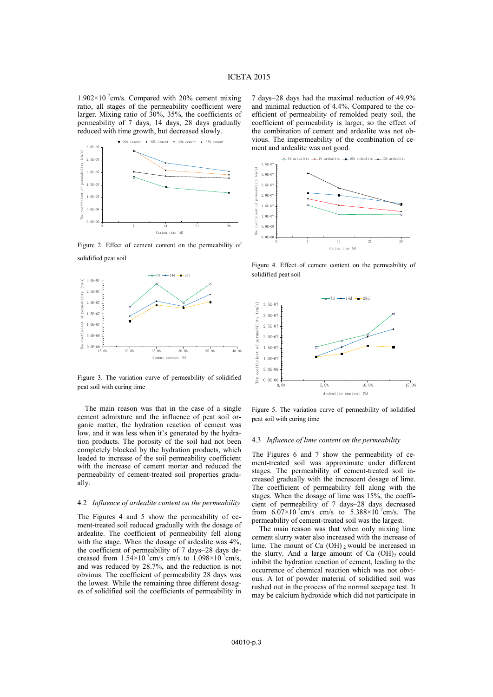$1.902\times10^{-7}$ cm/s. Compared with 20% cement mixing ratio, all stages of the permeability coefficient were larger. Mixing ratio of 30%, 35%, the coefficients of permeability of 7 days, 14 days, 28 days gradually reduced with time growth, but decreased slowly.



Figure 2. Effect of cement content on the permeability of solidified peat soil



7 days~28 days had the maximal reduction of 49.9% and minimal reduction of 4.4%. Compared to the coefficient of permeability of remolded peaty soil, the coefficient of permeability is larger, so the effect of the combination of cement and ardealite was not obvious. The impermeability of the combination of cement and ardealite was not good.



Figure 4. Effect of cement content on the permeability of solidified peat soil



Figure 3. The variation curve of permeability of solidified peat soil with curing time

The main reason was that in the case of a single cement admixture and the influence of peat soil organic matter, the hydration reaction of cement was low, and it was less when it's generated by the hydration products. The porosity of the soil had not been completely blocked by the hydration products, which leaded to increase of the soil permeability coefficient with the increase of cement mortar and reduced the permeability of cement-treated soil properties gradually.

#### 4.2 *Influence of ardealite content on the permeability*

The Figures 4 and 5 show the permeability of cement-treated soil reduced gradually with the dosage of ardealite. The coefficient of permeability fell along with the stage. When the dosage of ardealite was 4%, the coefficient of permeability of 7 days~28 days decreased from  $1.54 \times 10^{-7}$ cm/s cm/s to  $1.098 \times 10^{-7}$ cm/s, and was reduced by 28.7%, and the reduction is not obvious. The coefficient of permeability 28 days was the lowest. While the remaining three different dosages of solidified soil the coefficients of permeability in

Figure 5. The variation curve of permeability of solidified peat soil with curing time

#### 4.3 *Influence of lime content on the permeability*

The Figures 6 and 7 show the permeability of cement-treated soil was approximate under different stages. The permeability of cement-treated soil increased gradually with the increscent dosage of lime. The coefficient of permeability fell along with the stages. When the dosage of lime was 15%, the coefficient of permeability of 7 days~28 days decreased from  $6.07\times10^{-7}$ cm/s cm/s to  $5.388\times10^{-7}$ cm/s. The permeability of cement-treated soil was the largest.

The main reason was that when only mixing lime cement slurry water also increased with the increase of lime. The mount of Ca  $(OH)$ <sub>2</sub> would be increased in the slurry. And a large amount of Ca  $(OH)_2$  could inhibit the hydration reaction of cement, leading to the occurrence of chemical reaction which was not obvious. A lot of powder material of solidified soil was rushed out in the process of the normal seepage test. It may be calcium hydroxide which did not participate in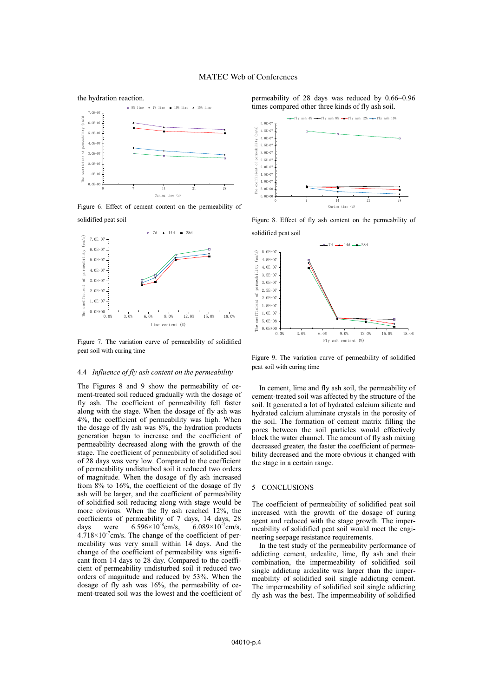

Figure 6. Effect of cement content on the permeability of solidified peat soil



Figure 7. The variation curve of permeability of solidified peat soil with curing time

#### 4.4 *Influence of fly ash content on the permeability*

The Figures 8 and 9 show the permeability of cement-treated soil reduced gradually with the dosage of fly ash. The coefficient of permeability fell faster along with the stage. When the dosage of fly ash was 4%, the coefficient of permeability was high. When the dosage of fly ash was 8%, the hydration products generation began to increase and the coefficient of permeability decreased along with the growth of the stage. The coefficient of permeability of solidified soil of 28 days was very low. Compared to the coefficient of permeability undisturbed soil it reduced two orders of magnitude. When the dosage of fly ash increased from 8% to 16%, the coefficient of the dosage of fly ash will be larger, and the coefficient of permeability of solidified soil reducing along with stage would be more obvious. When the fly ash reached 12%, the coefficients of permeability of 7 days, 14 days, 28 days were  $6.596 \times 10^{-8}$  cm/s,  $6.089 \times 10^{-7}$  cm/s,  $4.718\times10^{-7}$ cm/s. The change of the coefficient of permeability was very small within 14 days. And the change of the coefficient of permeability was significant from 14 days to 28 day. Compared to the coefficient of permeability undisturbed soil it reduced two orders of magnitude and reduced by 53%. When the dosage of fly ash was 16%, the permeability of cement-treated soil was the lowest and the coefficient of permeability of 28 days was reduced by 0.66~0.96 times compared other three kinds of fly ash soil.



Figure 8. Effect of fly ash content on the permeability of



Figure 9. The variation curve of permeability of solidified peat soil with curing time

In cement, lime and fly ash soil, the permeability of cement-treated soil was affected by the structure of the soil. It generated a lot of hydrated calcium silicate and hydrated calcium aluminate crystals in the porosity of the soil. The formation of cement matrix filling the pores between the soil particles would effectively block the water channel. The amount of fly ash mixing decreased greater, the faster the coefficient of permeability decreased and the more obvious it changed with the stage in a certain range.

### 5 CONCLUSIONS

The coefficient of permeability of solidified peat soil increased with the growth of the dosage of curing agent and reduced with the stage growth. The impermeability of solidified peat soil would meet the engineering seepage resistance requirements.

In the test study of the permeability performance of addicting cement, ardealite, lime, fly ash and their combination, the impermeability of solidified soil single addicting ardealite was larger than the impermeability of solidified soil single addicting cement. The impermeability of solidified soil single addicting fly ash was the best. The impermeability of solidified